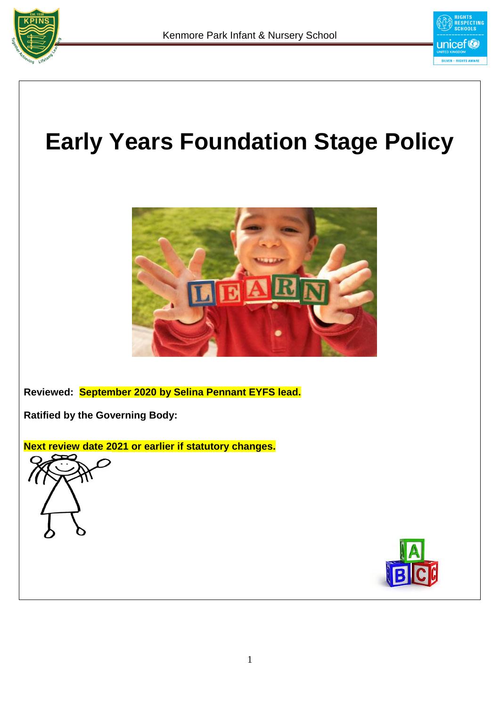



**Reviewed: September 2020 by Selina Pennant EYFS lead.**

**Ratified by the Governing Body:** 

**Next review date 2021 or earlier if statutory changes.**





unicef<sup>®</sup> SILVER - RIGHT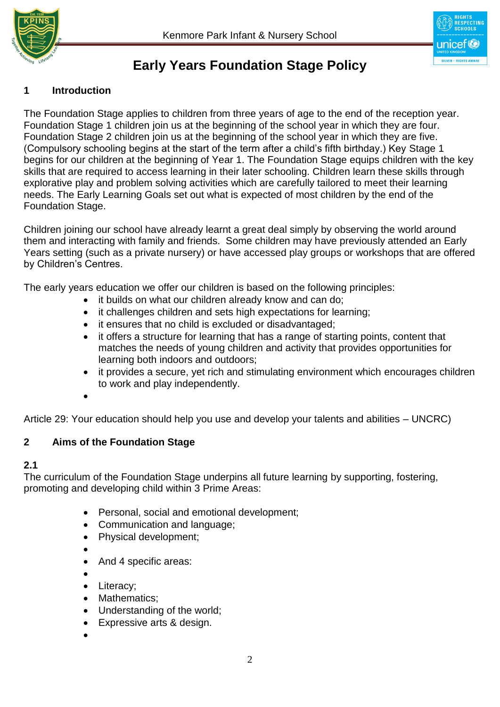



# **Early Years Foundation Stage Policy**

# **1 Introduction**

The Foundation Stage applies to children from three years of age to the end of the reception year. Foundation Stage 1 children join us at the beginning of the school year in which they are four. Foundation Stage 2 children join us at the beginning of the school year in which they are five. (Compulsory schooling begins at the start of the term after a child's fifth birthday.) Key Stage 1 begins for our children at the beginning of Year 1. The Foundation Stage equips children with the key skills that are required to access learning in their later schooling. Children learn these skills through explorative play and problem solving activities which are carefully tailored to meet their learning needs. The Early Learning Goals set out what is expected of most children by the end of the Foundation Stage.

Children joining our school have already learnt a great deal simply by observing the world around them and interacting with family and friends. Some children may have previously attended an Early Years setting (such as a private nursery) or have accessed play groups or workshops that are offered by Children's Centres.

The early years education we offer our children is based on the following principles:

- it builds on what our children already know and can do;
- it challenges children and sets high expectations for learning;
- it ensures that no child is excluded or disadvantaged;
- it offers a structure for learning that has a range of starting points, content that matches the needs of young children and activity that provides opportunities for learning both indoors and outdoors;
- it provides a secure, yet rich and stimulating environment which encourages children to work and play independently.
- $\bullet$

Article 29: Your education should help you use and develop your talents and abilities – UNCRC)

### **2 Aims of the Foundation Stage**

### **2.1**

The curriculum of the Foundation Stage underpins all future learning by supporting, fostering, promoting and developing child within 3 Prime Areas:

- Personal, social and emotional development;
- Communication and language;
- Physical development;
- $\bullet$
- And 4 specific areas:
- $\bullet$
- Literacy:
- Mathematics;
- Understanding of the world;
- Expressive arts & design.
- $\bullet$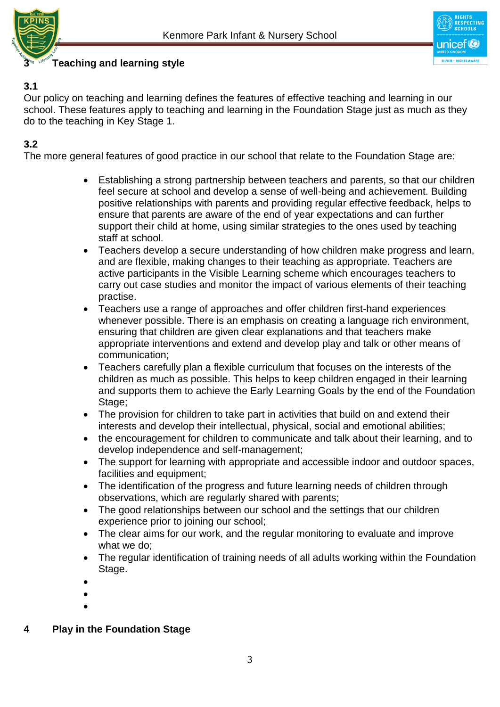



# **3 Teaching and learning style**

### **3.1**

Our policy on teaching and learning defines the features of effective teaching and learning in our school. These features apply to teaching and learning in the Foundation Stage just as much as they do to the teaching in Key Stage 1.

# **3.2**

The more general features of good practice in our school that relate to the Foundation Stage are:

- Establishing a strong partnership between teachers and parents, so that our children feel secure at school and develop a sense of well-being and achievement. Building positive relationships with parents and providing regular effective feedback, helps to ensure that parents are aware of the end of year expectations and can further support their child at home, using similar strategies to the ones used by teaching staff at school.
- Teachers develop a secure understanding of how children make progress and learn, and are flexible, making changes to their teaching as appropriate. Teachers are active participants in the Visible Learning scheme which encourages teachers to carry out case studies and monitor the impact of various elements of their teaching practise.
- Teachers use a range of approaches and offer children first-hand experiences whenever possible. There is an emphasis on creating a language rich environment, ensuring that children are given clear explanations and that teachers make appropriate interventions and extend and develop play and talk or other means of communication;
- Teachers carefully plan a flexible curriculum that focuses on the interests of the children as much as possible. This helps to keep children engaged in their learning and supports them to achieve the Early Learning Goals by the end of the Foundation Stage;
- The provision for children to take part in activities that build on and extend their interests and develop their intellectual, physical, social and emotional abilities;
- the encouragement for children to communicate and talk about their learning, and to develop independence and self-management;
- The support for learning with appropriate and accessible indoor and outdoor spaces, facilities and equipment;
- The identification of the progress and future learning needs of children through observations, which are regularly shared with parents;
- The good relationships between our school and the settings that our children experience prior to joining our school;
- The clear aims for our work, and the regular monitoring to evaluate and improve what we do;
- The regular identification of training needs of all adults working within the Foundation Stage.

- $\bullet$
- $\bullet$
- **4 Play in the Foundation Stage**

 $\bullet$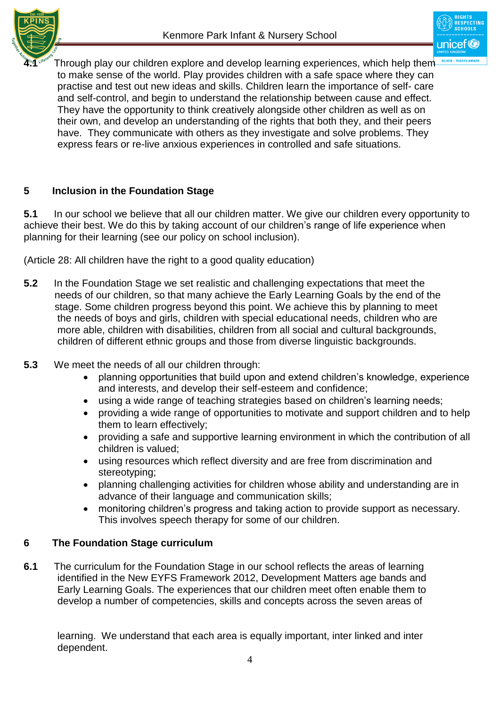



**4.1** Through play our children explore and develop learning experiences, which help them to make sense of the world. Play provides children with a safe space where they can practise and test out new ideas and skills. Children learn the importance of self- care and self-control, and begin to understand the relationship between cause and effect. They have the opportunity to think creatively alongside other children as well as on their own, and develop an understanding of the rights that both they, and their peers have. They communicate with others as they investigate and solve problems. They express fears or re-live anxious experiences in controlled and safe situations.

# **5 Inclusion in the Foundation Stage**

**5.1** In our school we believe that all our children matter. We give our children every opportunity to achieve their best. We do this by taking account of our children's range of life experience when planning for their learning (see our policy on school inclusion).

(Article 28: All children have the right to a good quality education)

- **5.2** In the Foundation Stage we set realistic and challenging expectations that meet the needs of our children, so that many achieve the Early Learning Goals by the end of the stage. Some children progress beyond this point. We achieve this by planning to meet the needs of boys and girls, children with special educational needs, children who are more able, children with disabilities, children from all social and cultural backgrounds, children of different ethnic groups and those from diverse linguistic backgrounds.
- **5.3** We meet the needs of all our children through:
	- planning opportunities that build upon and extend children's knowledge, experience and interests, and develop their self-esteem and confidence;
	- using a wide range of teaching strategies based on children's learning needs;
	- providing a wide range of opportunities to motivate and support children and to help them to learn effectively;
	- providing a safe and supportive learning environment in which the contribution of all children is valued;
	- using resources which reflect diversity and are free from discrimination and stereotyping;
	- planning challenging activities for children whose ability and understanding are in advance of their language and communication skills;
	- monitoring children's progress and taking action to provide support as necessary. This involves speech therapy for some of our children.

### **6 The Foundation Stage curriculum**

**6.1** The curriculum for the Foundation Stage in our school reflects the areas of learning identified in the New EYFS Framework 2012, Development Matters age bands and Early Learning Goals. The experiences that our children meet often enable them to develop a number of competencies, skills and concepts across the seven areas of

 learning. We understand that each area is equally important, inter linked and inter dependent.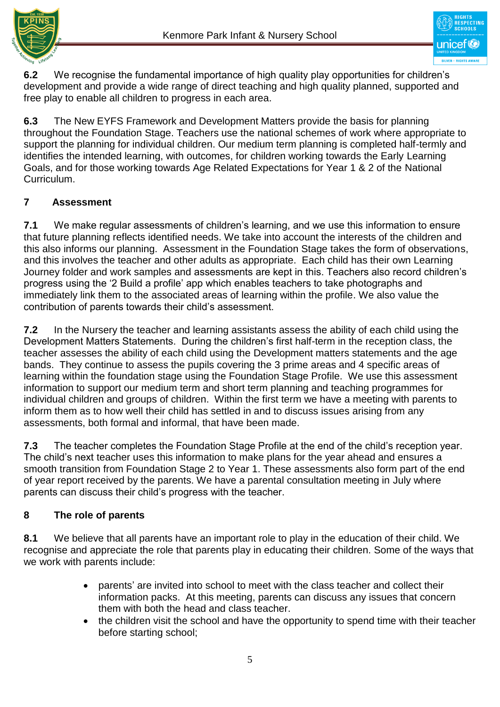



**6.2** We recognise the fundamental importance of high quality play opportunities for children's development and provide a wide range of direct teaching and high quality planned, supported and free play to enable all children to progress in each area.

**6.3** The New EYFS Framework and Development Matters provide the basis for planning throughout the Foundation Stage. Teachers use the national schemes of work where appropriate to support the planning for individual children. Our medium term planning is completed half-termly and identifies the intended learning, with outcomes, for children working towards the Early Learning Goals, and for those working towards Age Related Expectations for Year 1 & 2 of the National Curriculum.

# **7 Assessment**

**7.1** We make regular assessments of children's learning, and we use this information to ensure that future planning reflects identified needs. We take into account the interests of the children and this also informs our planning. Assessment in the Foundation Stage takes the form of observations, and this involves the teacher and other adults as appropriate. Each child has their own Learning Journey folder and work samples and assessments are kept in this. Teachers also record children's progress using the '2 Build a profile' app which enables teachers to take photographs and immediately link them to the associated areas of learning within the profile. We also value the contribution of parents towards their child's assessment.

**7.2** In the Nursery the teacher and learning assistants assess the ability of each child using the Development Matters Statements. During the children's first half-term in the reception class, the teacher assesses the ability of each child using the Development matters statements and the age bands. They continue to assess the pupils covering the 3 prime areas and 4 specific areas of learning within the foundation stage using the Foundation Stage Profile. We use this assessment information to support our medium term and short term planning and teaching programmes for individual children and groups of children. Within the first term we have a meeting with parents to inform them as to how well their child has settled in and to discuss issues arising from any assessments, both formal and informal, that have been made.

**7.3** The teacher completes the Foundation Stage Profile at the end of the child's reception year. The child's next teacher uses this information to make plans for the year ahead and ensures a smooth transition from Foundation Stage 2 to Year 1. These assessments also form part of the end of year report received by the parents. We have a parental consultation meeting in July where parents can discuss their child's progress with the teacher.

# **8 The role of parents**

**8.1** We believe that all parents have an important role to play in the education of their child. We recognise and appreciate the role that parents play in educating their children. Some of the ways that we work with parents include:

- parents' are invited into school to meet with the class teacher and collect their information packs. At this meeting, parents can discuss any issues that concern them with both the head and class teacher.
- the children visit the school and have the opportunity to spend time with their teacher before starting school;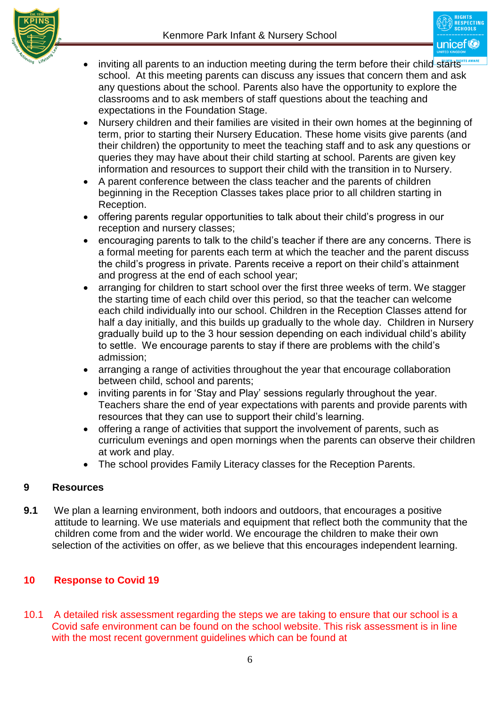

- inviting all parents to an induction meeting during the term before their child starts school. At this meeting parents can discuss any issues that concern them and ask any questions about the school. Parents also have the opportunity to explore the classrooms and to ask members of staff questions about the teaching and expectations in the Foundation Stage.
- Nursery children and their families are visited in their own homes at the beginning of term, prior to starting their Nursery Education. These home visits give parents (and their children) the opportunity to meet the teaching staff and to ask any questions or queries they may have about their child starting at school. Parents are given key information and resources to support their child with the transition in to Nursery.
- A parent conference between the class teacher and the parents of children beginning in the Reception Classes takes place prior to all children starting in Reception.
- offering parents regular opportunities to talk about their child's progress in our reception and nursery classes;
- encouraging parents to talk to the child's teacher if there are any concerns. There is a formal meeting for parents each term at which the teacher and the parent discuss the child's progress in private. Parents receive a report on their child's attainment and progress at the end of each school year;
- arranging for children to start school over the first three weeks of term. We stagger the starting time of each child over this period, so that the teacher can welcome each child individually into our school. Children in the Reception Classes attend for half a day initially, and this builds up gradually to the whole day. Children in Nursery gradually build up to the 3 hour session depending on each individual child's ability to settle. We encourage parents to stay if there are problems with the child's admission;
- arranging a range of activities throughout the year that encourage collaboration between child, school and parents;
- inviting parents in for 'Stay and Play' sessions regularly throughout the year. Teachers share the end of year expectations with parents and provide parents with resources that they can use to support their child's learning.
- offering a range of activities that support the involvement of parents, such as curriculum evenings and open mornings when the parents can observe their children at work and play.
- The school provides Family Literacy classes for the Reception Parents.

# **9 Resources**

**9.1** We plan a learning environment, both indoors and outdoors, that encourages a positive attitude to learning. We use materials and equipment that reflect both the community that the children come from and the wider world. We encourage the children to make their own selection of the activities on offer, as we believe that this encourages independent learning.

# **10 Response to Covid 19**

10.1 A detailed risk assessment regarding the steps we are taking to ensure that our school is a Covid safe environment can be found on the school website. This risk assessment is in line with the most recent government guidelines which can be found at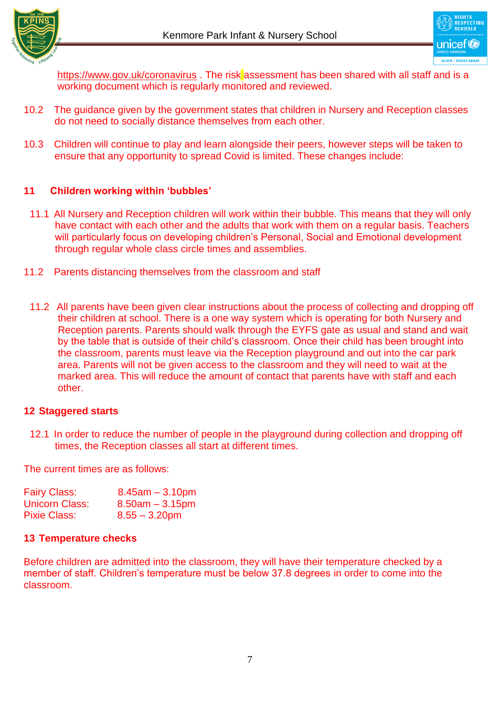



<https://www.gov.uk/coronavirus> . The risk assessment has been shared with all staff and is a working document which is regularly monitored and reviewed.

- 10.2 The guidance given by the government states that children in Nursery and Reception classes do not need to socially distance themselves from each other.
- 10.3 Children will continue to play and learn alongside their peers, however steps will be taken to ensure that any opportunity to spread Covid is limited. These changes include:

### **11 Children working within 'bubbles'**

- 11.1 All Nursery and Reception children will work within their bubble. This means that they will only have contact with each other and the adults that work with them on a regular basis. Teachers will particularly focus on developing children's Personal, Social and Emotional development through regular whole class circle times and assemblies.
- 11.2 Parents distancing themselves from the classroom and staff
	- 11.2 All parents have been given clear instructions about the process of collecting and dropping off their children at school. There is a one way system which is operating for both Nursery and Reception parents. Parents should walk through the EYFS gate as usual and stand and wait by the table that is outside of their child's classroom. Once their child has been brought into the classroom, parents must leave via the Reception playground and out into the car park area. Parents will not be given access to the classroom and they will need to wait at the marked area. This will reduce the amount of contact that parents have with staff and each other.

#### **12 Staggered starts**

12.1 In order to reduce the number of people in the playground during collection and dropping off times, the Reception classes all start at different times.

The current times are as follows:

| <b>Fairy Class:</b> | $8.45$ am $-3.10$ pm |
|---------------------|----------------------|
| Unicorn Class:      | $8.50am - 3.15pm$    |
| <b>Pixie Class:</b> | $8.55 - 3.20$ pm     |

#### **13 Temperature checks**

Before children are admitted into the classroom, they will have their temperature checked by a member of staff. Children's temperature must be below 37.8 degrees in order to come into the classroom.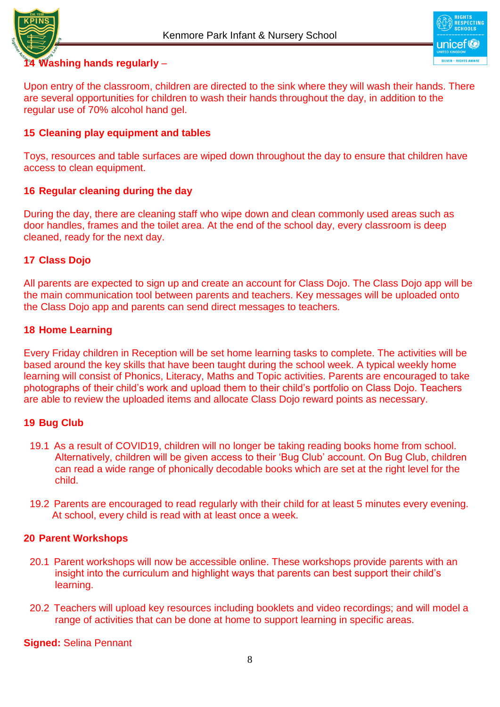



### **14 Washing hands regularly** –

Upon entry of the classroom, children are directed to the sink where they will wash their hands. There are several opportunities for children to wash their hands throughout the day, in addition to the regular use of 70% alcohol hand gel.

#### **15 Cleaning play equipment and tables**

Toys, resources and table surfaces are wiped down throughout the day to ensure that children have access to clean equipment.

### **16 Regular cleaning during the day**

During the day, there are cleaning staff who wipe down and clean commonly used areas such as door handles, frames and the toilet area. At the end of the school day, every classroom is deep cleaned, ready for the next day.

### **17 Class Dojo**

All parents are expected to sign up and create an account for Class Dojo. The Class Dojo app will be the main communication tool between parents and teachers. Key messages will be uploaded onto the Class Dojo app and parents can send direct messages to teachers.

#### **18 Home Learning**

Every Friday children in Reception will be set home learning tasks to complete. The activities will be based around the key skills that have been taught during the school week. A typical weekly home learning will consist of Phonics, Literacy, Maths and Topic activities. Parents are encouraged to take photographs of their child's work and upload them to their child's portfolio on Class Dojo. Teachers are able to review the uploaded items and allocate Class Dojo reward points as necessary.

#### **19 Bug Club**

- 19.1 As a result of COVID19, children will no longer be taking reading books home from school. Alternatively, children will be given access to their 'Bug Club' account. On Bug Club, children can read a wide range of phonically decodable books which are set at the right level for the child.
- 19.2 Parents are encouraged to read regularly with their child for at least 5 minutes every evening. At school, every child is read with at least once a week.

#### **20 Parent Workshops**

- 20.1 Parent workshops will now be accessible online. These workshops provide parents with an insight into the curriculum and highlight ways that parents can best support their child's learning.
- 20.2 Teachers will upload key resources including booklets and video recordings; and will model a range of activities that can be done at home to support learning in specific areas.

**Signed:** Selina Pennant